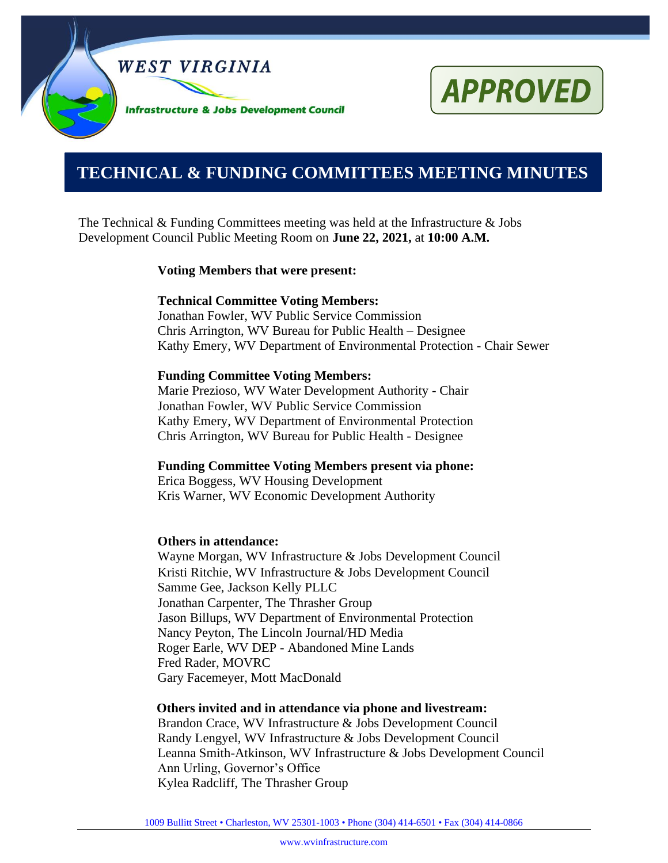

# **APPROVED**

# **0000000000000000000000000000000000000000000000000000. TECHNICAL & FUNDING COMMITTEES MEETING MINUTES**

The Technical & Funding Committees meeting was held at the Infrastructure & Jobs Development Council Public Meeting Room on **June 22, 2021,** at **10:00 A.M.**

#### **Voting Members that were present:**

#### **Technical Committee Voting Members:**

Jonathan Fowler, WV Public Service Commission Chris Arrington, WV Bureau for Public Health – Designee Kathy Emery, WV Department of Environmental Protection - Chair Sewer

#### **Funding Committee Voting Members:**

Marie Prezioso, WV Water Development Authority - Chair Jonathan Fowler, WV Public Service Commission Kathy Emery, WV Department of Environmental Protection Chris Arrington, WV Bureau for Public Health - Designee

**Funding Committee Voting Members present via phone:**

Erica Boggess, WV Housing Development Kris Warner, WV Economic Development Authority

#### **Others in attendance:**

Wayne Morgan, WV Infrastructure & Jobs Development Council Kristi Ritchie, WV Infrastructure & Jobs Development Council Samme Gee, Jackson Kelly PLLC Jonathan Carpenter, The Thrasher Group Jason Billups, WV Department of Environmental Protection Nancy Peyton, The Lincoln Journal/HD Media Roger Earle, WV DEP - Abandoned Mine Lands Fred Rader, MOVRC Gary Facemeyer, Mott MacDonald

#### **Others invited and in attendance via phone and livestream:**

Brandon Crace, WV Infrastructure & Jobs Development Council Randy Lengyel, WV Infrastructure & Jobs Development Council Leanna Smith-Atkinson, WV Infrastructure & Jobs Development Council Ann Urling, Governor's Office Kylea Radcliff, The Thrasher Group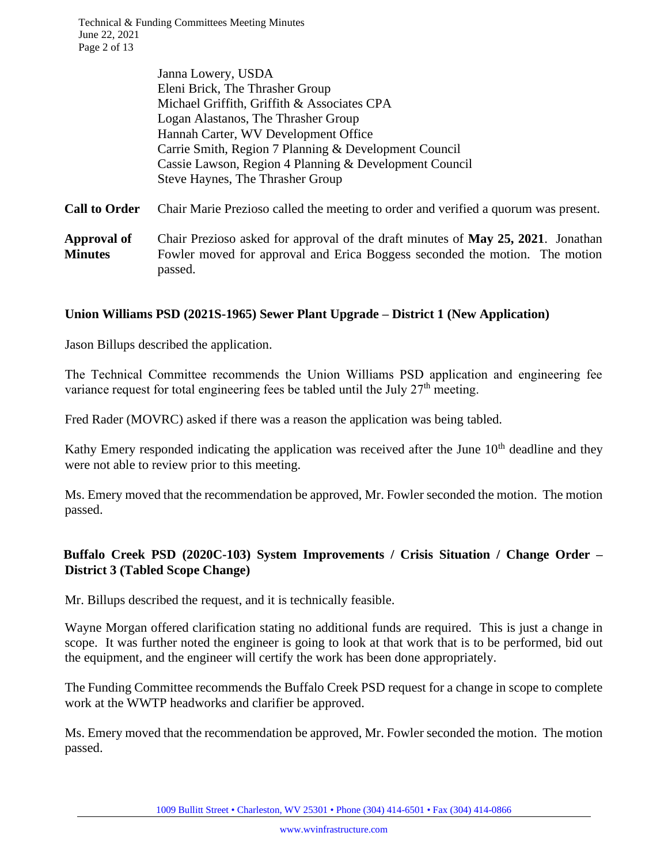Technical & Funding Committees Meeting Minutes June 22, 2021 Page 2 of 13

|                      | Janna Lowery, USDA                                                                  |
|----------------------|-------------------------------------------------------------------------------------|
|                      | Eleni Brick, The Thrasher Group                                                     |
|                      | Michael Griffith, Griffith & Associates CPA                                         |
|                      | Logan Alastanos, The Thrasher Group                                                 |
|                      | Hannah Carter, WV Development Office                                                |
|                      | Carrie Smith, Region 7 Planning & Development Council                               |
|                      | Cassie Lawson, Region 4 Planning & Development Council                              |
|                      | Steve Haynes, The Thrasher Group                                                    |
| <b>Call to Order</b> | Chair Marie Prezioso called the meeting to order and verified a quorum was present. |

**Approval of Minutes** Chair Prezioso asked for approval of the draft minutes of **May 25, 2021**. Jonathan Fowler moved for approval and Erica Boggess seconded the motion. The motion passed.

#### **Union Williams PSD (2021S-1965) Sewer Plant Upgrade – District 1 (New Application)**

Jason Billups described the application.

The Technical Committee recommends the Union Williams PSD application and engineering fee variance request for total engineering fees be tabled until the July  $27<sup>th</sup>$  meeting.

Fred Rader (MOVRC) asked if there was a reason the application was being tabled.

Kathy Emery responded indicating the application was received after the June  $10<sup>th</sup>$  deadline and they were not able to review prior to this meeting.

Ms. Emery moved that the recommendation be approved, Mr. Fowler seconded the motion. The motion passed.

# **Buffalo Creek PSD (2020C-103) System Improvements / Crisis Situation / Change Order – District 3 (Tabled Scope Change)**

Mr. Billups described the request, and it is technically feasible.

Wayne Morgan offered clarification stating no additional funds are required. This is just a change in scope. It was further noted the engineer is going to look at that work that is to be performed, bid out the equipment, and the engineer will certify the work has been done appropriately.

The Funding Committee recommends the Buffalo Creek PSD request for a change in scope to complete work at the WWTP headworks and clarifier be approved.

Ms. Emery moved that the recommendation be approved, Mr. Fowler seconded the motion. The motion passed.

1009 Bullitt Street • Charleston, WV 25301 • Phone (304) 414-6501 • Fax (304) 414-0866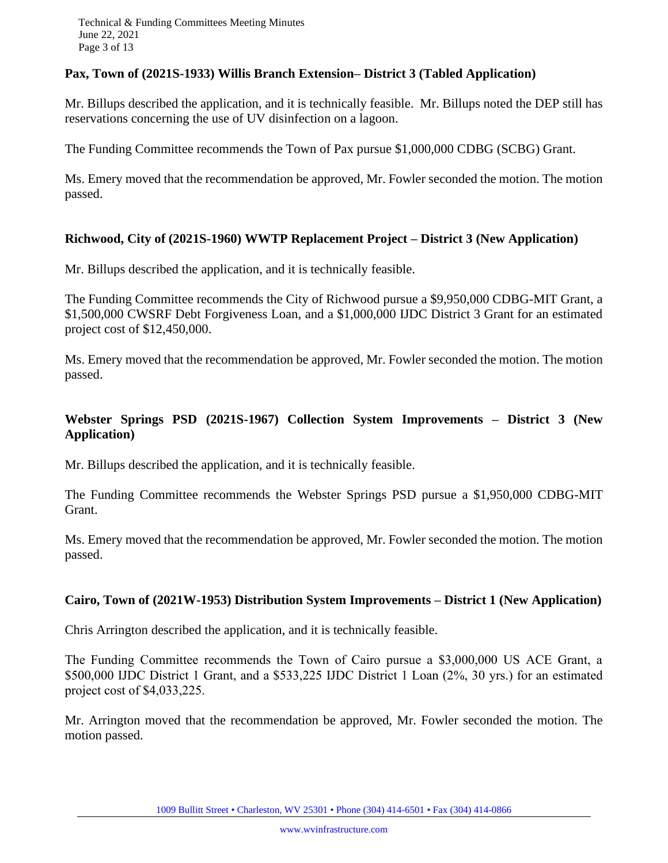Technical & Funding Committees Meeting Minutes June 22, 2021 Page 3 of 13

#### **Pax, Town of (2021S-1933) Willis Branch Extension– District 3 (Tabled Application)**

Mr. Billups described the application, and it is technically feasible. Mr. Billups noted the DEP still has reservations concerning the use of UV disinfection on a lagoon.

The Funding Committee recommends the Town of Pax pursue \$1,000,000 CDBG (SCBG) Grant.

Ms. Emery moved that the recommendation be approved, Mr. Fowler seconded the motion. The motion passed.

#### **Richwood, City of (2021S-1960) WWTP Replacement Project – District 3 (New Application)**

Mr. Billups described the application, and it is technically feasible.

The Funding Committee recommends the City of Richwood pursue a \$9,950,000 CDBG-MIT Grant, a \$1,500,000 CWSRF Debt Forgiveness Loan, and a \$1,000,000 IJDC District 3 Grant for an estimated project cost of \$12,450,000.

Ms. Emery moved that the recommendation be approved, Mr. Fowler seconded the motion. The motion passed.

# **Webster Springs PSD (2021S-1967) Collection System Improvements – District 3 (New Application)**

Mr. Billups described the application, and it is technically feasible.

The Funding Committee recommends the Webster Springs PSD pursue a \$1,950,000 CDBG-MIT Grant.

Ms. Emery moved that the recommendation be approved, Mr. Fowler seconded the motion. The motion passed.

#### **Cairo, Town of (2021W-1953) Distribution System Improvements – District 1 (New Application)**

Chris Arrington described the application, and it is technically feasible.

The Funding Committee recommends the Town of Cairo pursue a \$3,000,000 US ACE Grant, a \$500,000 IJDC District 1 Grant, and a \$533,225 IJDC District 1 Loan (2%, 30 yrs.) for an estimated project cost of \$4,033,225.

Mr. Arrington moved that the recommendation be approved, Mr. Fowler seconded the motion. The motion passed.

1009 Bullitt Street • Charleston, WV 25301 • Phone (304) 414-6501 • Fax (304) 414-0866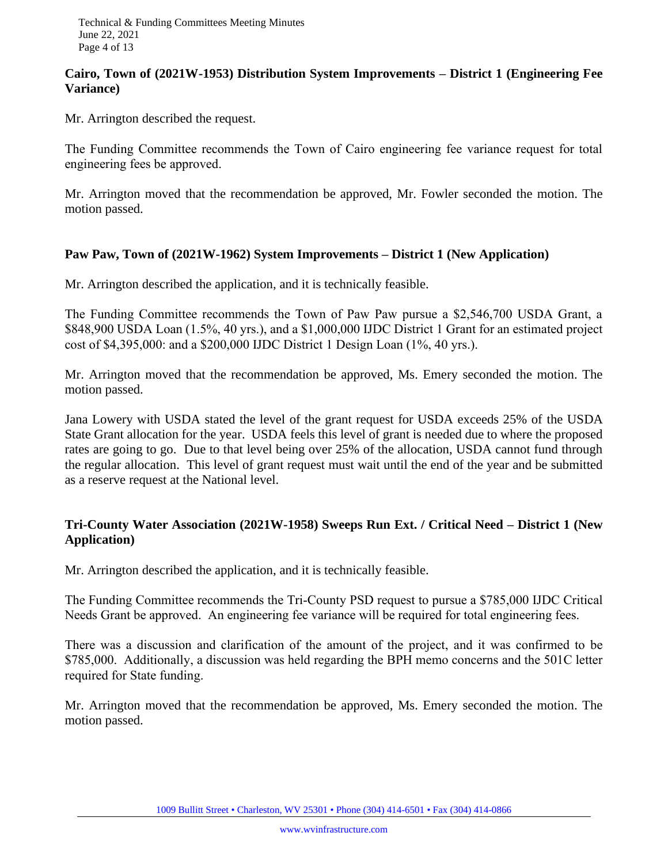#### **Cairo, Town of (2021W-1953) Distribution System Improvements – District 1 (Engineering Fee Variance)**

Mr. Arrington described the request.

The Funding Committee recommends the Town of Cairo engineering fee variance request for total engineering fees be approved.

Mr. Arrington moved that the recommendation be approved, Mr. Fowler seconded the motion. The motion passed.

#### **Paw Paw, Town of (2021W-1962) System Improvements – District 1 (New Application)**

Mr. Arrington described the application, and it is technically feasible.

The Funding Committee recommends the Town of Paw Paw pursue a \$2,546,700 USDA Grant, a \$848,900 USDA Loan (1.5%, 40 yrs.), and a \$1,000,000 IJDC District 1 Grant for an estimated project cost of \$4,395,000: and a \$200,000 IJDC District 1 Design Loan (1%, 40 yrs.).

Mr. Arrington moved that the recommendation be approved, Ms. Emery seconded the motion. The motion passed.

Jana Lowery with USDA stated the level of the grant request for USDA exceeds 25% of the USDA State Grant allocation for the year. USDA feels this level of grant is needed due to where the proposed rates are going to go. Due to that level being over 25% of the allocation, USDA cannot fund through the regular allocation. This level of grant request must wait until the end of the year and be submitted as a reserve request at the National level.

# **Tri-County Water Association (2021W-1958) Sweeps Run Ext. / Critical Need – District 1 (New Application)**

Mr. Arrington described the application, and it is technically feasible.

The Funding Committee recommends the Tri-County PSD request to pursue a \$785,000 IJDC Critical Needs Grant be approved. An engineering fee variance will be required for total engineering fees.

There was a discussion and clarification of the amount of the project, and it was confirmed to be \$785,000. Additionally, a discussion was held regarding the BPH memo concerns and the 501C letter required for State funding.

Mr. Arrington moved that the recommendation be approved, Ms. Emery seconded the motion. The motion passed.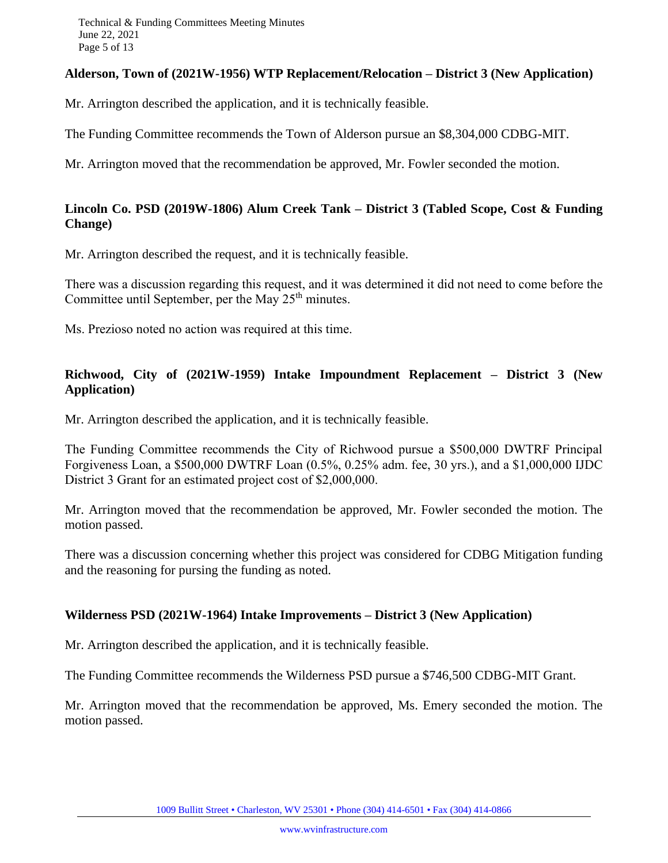#### **Alderson, Town of (2021W-1956) WTP Replacement/Relocation – District 3 (New Application)**

Mr. Arrington described the application, and it is technically feasible.

The Funding Committee recommends the Town of Alderson pursue an \$8,304,000 CDBG-MIT.

Mr. Arrington moved that the recommendation be approved, Mr. Fowler seconded the motion.

#### **Lincoln Co. PSD (2019W-1806) Alum Creek Tank – District 3 (Tabled Scope, Cost & Funding Change)**

Mr. Arrington described the request, and it is technically feasible.

There was a discussion regarding this request, and it was determined it did not need to come before the Committee until September, per the May  $25<sup>th</sup>$  minutes.

Ms. Prezioso noted no action was required at this time.

# **Richwood, City of (2021W-1959) Intake Impoundment Replacement – District 3 (New Application)**

Mr. Arrington described the application, and it is technically feasible.

The Funding Committee recommends the City of Richwood pursue a \$500,000 DWTRF Principal Forgiveness Loan, a \$500,000 DWTRF Loan (0.5%, 0.25% adm. fee, 30 yrs.), and a \$1,000,000 IJDC District 3 Grant for an estimated project cost of \$2,000,000.

Mr. Arrington moved that the recommendation be approved, Mr. Fowler seconded the motion. The motion passed.

There was a discussion concerning whether this project was considered for CDBG Mitigation funding and the reasoning for pursing the funding as noted.

# **Wilderness PSD (2021W-1964) Intake Improvements – District 3 (New Application)**

Mr. Arrington described the application, and it is technically feasible.

The Funding Committee recommends the Wilderness PSD pursue a \$746,500 CDBG-MIT Grant.

Mr. Arrington moved that the recommendation be approved, Ms. Emery seconded the motion. The motion passed.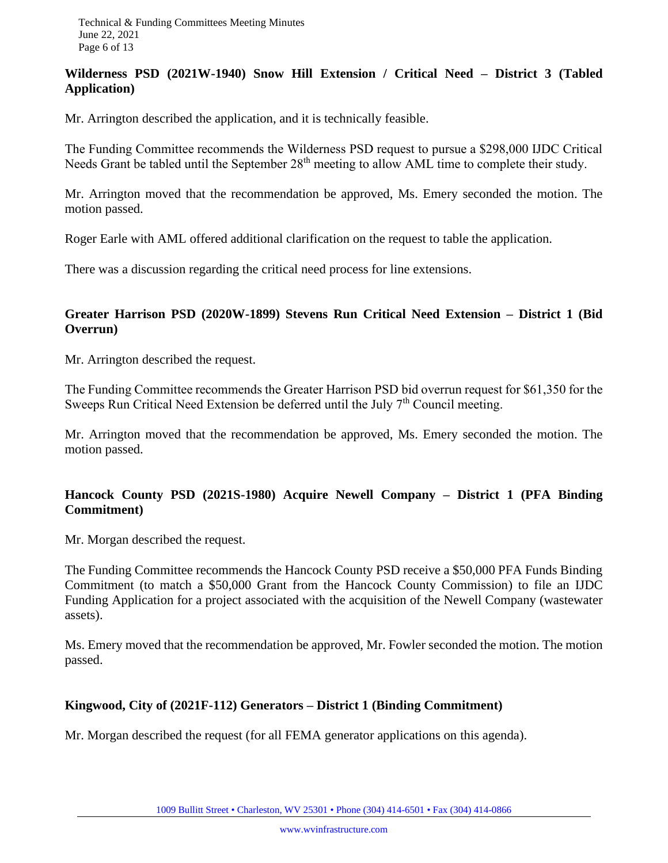# **Wilderness PSD (2021W-1940) Snow Hill Extension / Critical Need – District 3 (Tabled Application)**

Mr. Arrington described the application, and it is technically feasible.

The Funding Committee recommends the Wilderness PSD request to pursue a \$298,000 IJDC Critical Needs Grant be tabled until the September 28<sup>th</sup> meeting to allow AML time to complete their study.

Mr. Arrington moved that the recommendation be approved, Ms. Emery seconded the motion. The motion passed.

Roger Earle with AML offered additional clarification on the request to table the application.

There was a discussion regarding the critical need process for line extensions.

#### **Greater Harrison PSD (2020W-1899) Stevens Run Critical Need Extension – District 1 (Bid Overrun)**

Mr. Arrington described the request.

The Funding Committee recommends the Greater Harrison PSD bid overrun request for \$61,350 for the Sweeps Run Critical Need Extension be deferred until the July  $7<sup>th</sup>$  Council meeting.

Mr. Arrington moved that the recommendation be approved, Ms. Emery seconded the motion. The motion passed.

# **Hancock County PSD (2021S-1980) Acquire Newell Company – District 1 (PFA Binding Commitment)**

Mr. Morgan described the request.

The Funding Committee recommends the Hancock County PSD receive a \$50,000 PFA Funds Binding Commitment (to match a \$50,000 Grant from the Hancock County Commission) to file an IJDC Funding Application for a project associated with the acquisition of the Newell Company (wastewater assets).

Ms. Emery moved that the recommendation be approved, Mr. Fowler seconded the motion. The motion passed.

# **Kingwood, City of (2021F-112) Generators – District 1 (Binding Commitment)**

Mr. Morgan described the request (for all FEMA generator applications on this agenda).

1009 Bullitt Street • Charleston, WV 25301 • Phone (304) 414-6501 • Fax (304) 414-0866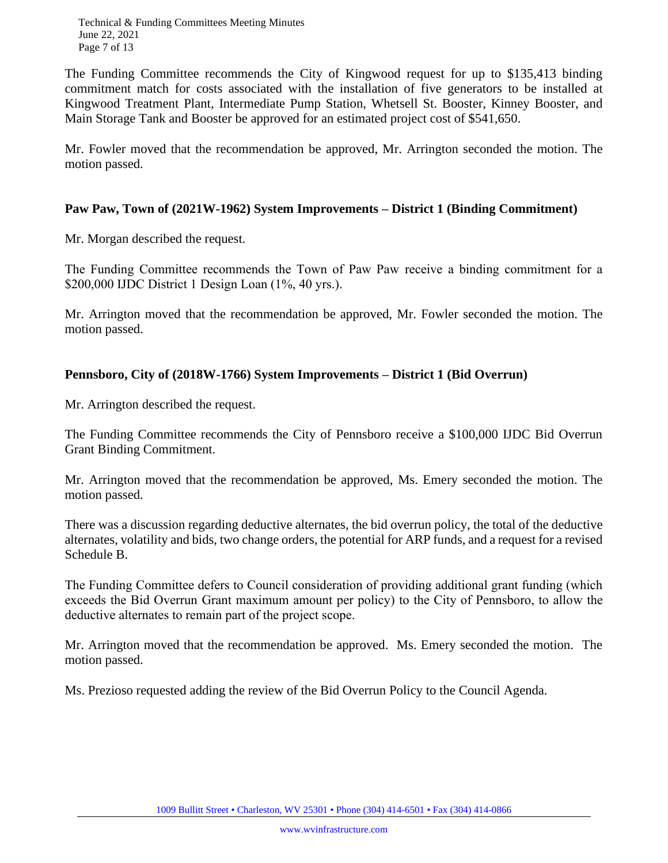Technical & Funding Committees Meeting Minutes June 22, 2021 Page 7 of 13

The Funding Committee recommends the City of Kingwood request for up to \$135,413 binding commitment match for costs associated with the installation of five generators to be installed at Kingwood Treatment Plant, Intermediate Pump Station, Whetsell St. Booster, Kinney Booster, and Main Storage Tank and Booster be approved for an estimated project cost of \$541,650.

Mr. Fowler moved that the recommendation be approved, Mr. Arrington seconded the motion. The motion passed.

#### **Paw Paw, Town of (2021W-1962) System Improvements – District 1 (Binding Commitment)**

Mr. Morgan described the request.

The Funding Committee recommends the Town of Paw Paw receive a binding commitment for a \$200,000 IJDC District 1 Design Loan (1%, 40 yrs.).

Mr. Arrington moved that the recommendation be approved, Mr. Fowler seconded the motion. The motion passed.

# **Pennsboro, City of (2018W-1766) System Improvements – District 1 (Bid Overrun)**

Mr. Arrington described the request.

The Funding Committee recommends the City of Pennsboro receive a \$100,000 IJDC Bid Overrun Grant Binding Commitment.

Mr. Arrington moved that the recommendation be approved, Ms. Emery seconded the motion. The motion passed.

There was a discussion regarding deductive alternates, the bid overrun policy, the total of the deductive alternates, volatility and bids, two change orders, the potential for ARP funds, and a request for a revised Schedule B.

The Funding Committee defers to Council consideration of providing additional grant funding (which exceeds the Bid Overrun Grant maximum amount per policy) to the City of Pennsboro, to allow the deductive alternates to remain part of the project scope.

Mr. Arrington moved that the recommendation be approved. Ms. Emery seconded the motion. The motion passed.

Ms. Prezioso requested adding the review of the Bid Overrun Policy to the Council Agenda.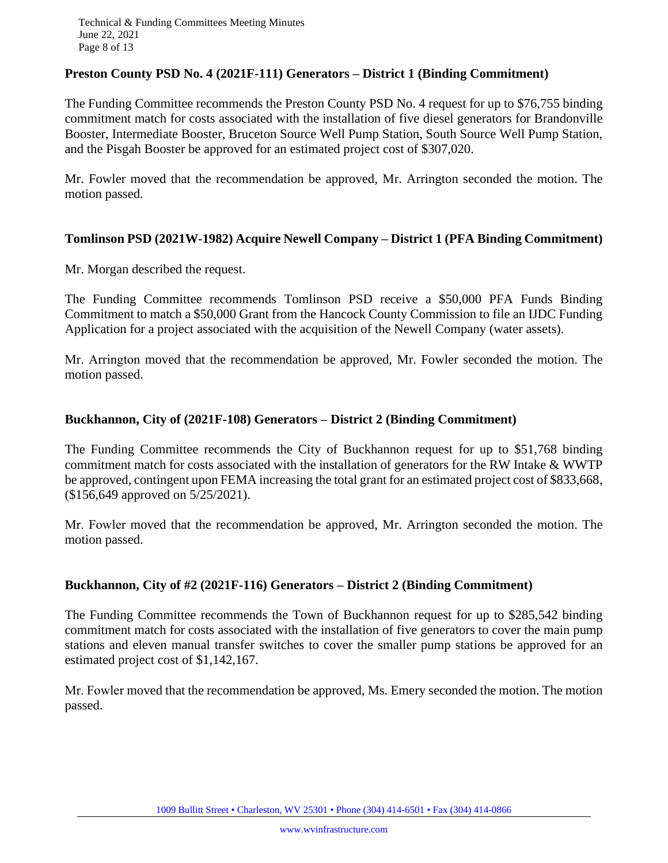Technical & Funding Committees Meeting Minutes June 22, 2021 Page 8 of 13

#### **Preston County PSD No. 4 (2021F-111) Generators – District 1 (Binding Commitment)**

The Funding Committee recommends the Preston County PSD No. 4 request for up to \$76,755 binding commitment match for costs associated with the installation of five diesel generators for Brandonville Booster, Intermediate Booster, Bruceton Source Well Pump Station, South Source Well Pump Station, and the Pisgah Booster be approved for an estimated project cost of \$307,020.

Mr. Fowler moved that the recommendation be approved, Mr. Arrington seconded the motion. The motion passed.

#### **Tomlinson PSD (2021W-1982) Acquire Newell Company – District 1 (PFA Binding Commitment)**

Mr. Morgan described the request.

The Funding Committee recommends Tomlinson PSD receive a \$50,000 PFA Funds Binding Commitment to match a \$50,000 Grant from the Hancock County Commission to file an IJDC Funding Application for a project associated with the acquisition of the Newell Company (water assets).

Mr. Arrington moved that the recommendation be approved, Mr. Fowler seconded the motion. The motion passed.

#### **Buckhannon, City of (2021F-108) Generators – District 2 (Binding Commitment)**

The Funding Committee recommends the City of Buckhannon request for up to \$51,768 binding commitment match for costs associated with the installation of generators for the RW Intake & WWTP be approved, contingent upon FEMA increasing the total grant for an estimated project cost of \$833,668, (\$156,649 approved on 5/25/2021).

Mr. Fowler moved that the recommendation be approved, Mr. Arrington seconded the motion. The motion passed.

#### **Buckhannon, City of #2 (2021F-116) Generators – District 2 (Binding Commitment)**

The Funding Committee recommends the Town of Buckhannon request for up to \$285,542 binding commitment match for costs associated with the installation of five generators to cover the main pump stations and eleven manual transfer switches to cover the smaller pump stations be approved for an estimated project cost of \$1,142,167.

Mr. Fowler moved that the recommendation be approved, Ms. Emery seconded the motion. The motion passed.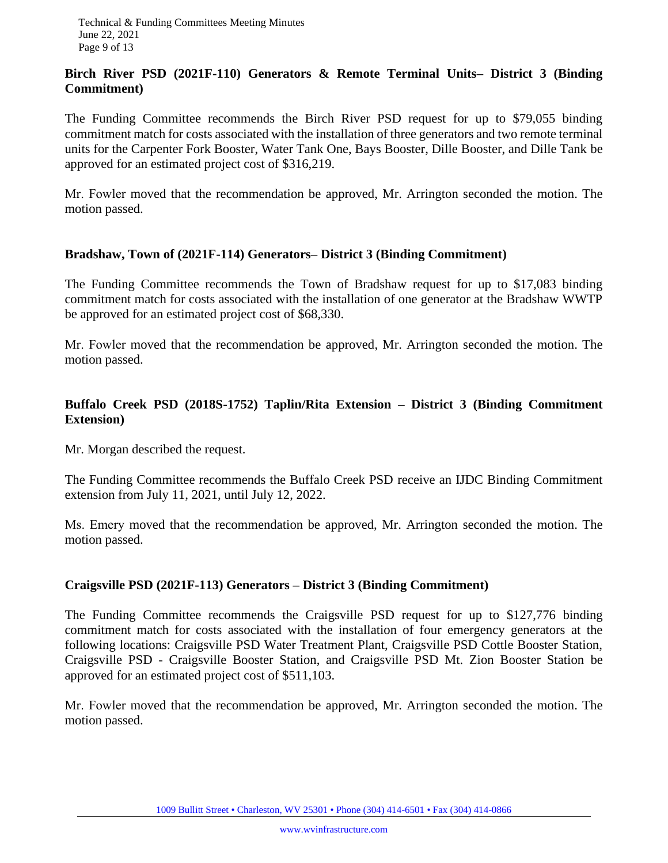#### **Birch River PSD (2021F-110) Generators & Remote Terminal Units– District 3 (Binding Commitment)**

The Funding Committee recommends the Birch River PSD request for up to \$79,055 binding commitment match for costs associated with the installation of three generators and two remote terminal units for the Carpenter Fork Booster, Water Tank One, Bays Booster, Dille Booster, and Dille Tank be approved for an estimated project cost of \$316,219.

Mr. Fowler moved that the recommendation be approved, Mr. Arrington seconded the motion. The motion passed.

#### **Bradshaw, Town of (2021F-114) Generators– District 3 (Binding Commitment)**

The Funding Committee recommends the Town of Bradshaw request for up to \$17,083 binding commitment match for costs associated with the installation of one generator at the Bradshaw WWTP be approved for an estimated project cost of \$68,330.

Mr. Fowler moved that the recommendation be approved, Mr. Arrington seconded the motion. The motion passed.

# **Buffalo Creek PSD (2018S-1752) Taplin/Rita Extension – District 3 (Binding Commitment Extension)**

Mr. Morgan described the request.

The Funding Committee recommends the Buffalo Creek PSD receive an IJDC Binding Commitment extension from July 11, 2021, until July 12, 2022.

Ms. Emery moved that the recommendation be approved, Mr. Arrington seconded the motion. The motion passed.

#### **Craigsville PSD (2021F-113) Generators – District 3 (Binding Commitment)**

The Funding Committee recommends the Craigsville PSD request for up to \$127,776 binding commitment match for costs associated with the installation of four emergency generators at the following locations: Craigsville PSD Water Treatment Plant, Craigsville PSD Cottle Booster Station, Craigsville PSD - Craigsville Booster Station, and Craigsville PSD Mt. Zion Booster Station be approved for an estimated project cost of \$511,103.

Mr. Fowler moved that the recommendation be approved, Mr. Arrington seconded the motion. The motion passed.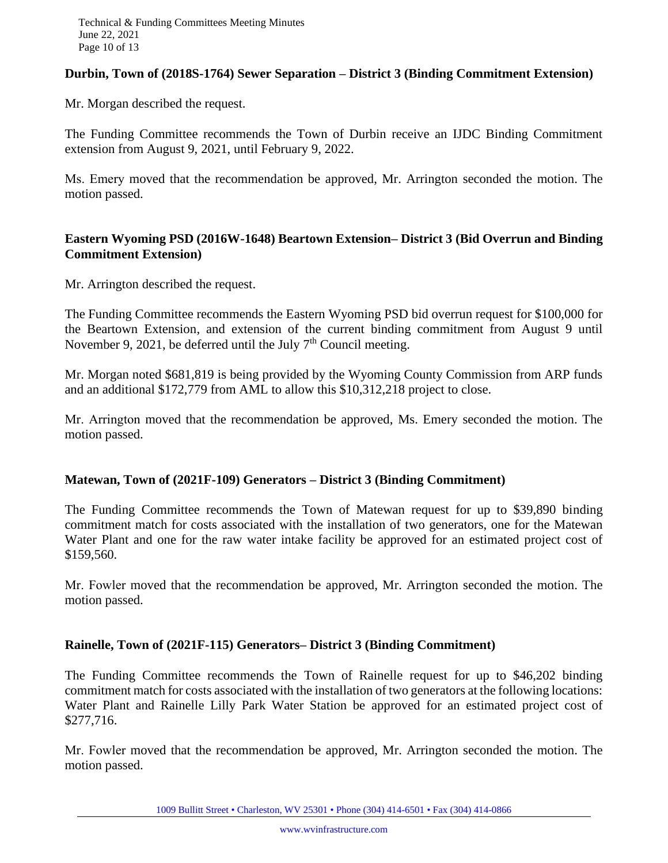#### **Durbin, Town of (2018S-1764) Sewer Separation – District 3 (Binding Commitment Extension)**

Mr. Morgan described the request.

The Funding Committee recommends the Town of Durbin receive an IJDC Binding Commitment extension from August 9, 2021, until February 9, 2022.

Ms. Emery moved that the recommendation be approved, Mr. Arrington seconded the motion. The motion passed.

#### **Eastern Wyoming PSD (2016W-1648) Beartown Extension– District 3 (Bid Overrun and Binding Commitment Extension)**

Mr. Arrington described the request.

The Funding Committee recommends the Eastern Wyoming PSD bid overrun request for \$100,000 for the Beartown Extension, and extension of the current binding commitment from August 9 until November 9, 2021, be deferred until the July  $7<sup>th</sup>$  Council meeting.

Mr. Morgan noted \$681,819 is being provided by the Wyoming County Commission from ARP funds and an additional \$172,779 from AML to allow this \$10,312,218 project to close.

Mr. Arrington moved that the recommendation be approved, Ms. Emery seconded the motion. The motion passed.

#### **Matewan, Town of (2021F-109) Generators – District 3 (Binding Commitment)**

The Funding Committee recommends the Town of Matewan request for up to \$39,890 binding commitment match for costs associated with the installation of two generators, one for the Matewan Water Plant and one for the raw water intake facility be approved for an estimated project cost of \$159,560.

Mr. Fowler moved that the recommendation be approved, Mr. Arrington seconded the motion. The motion passed.

#### **Rainelle, Town of (2021F-115) Generators– District 3 (Binding Commitment)**

The Funding Committee recommends the Town of Rainelle request for up to \$46,202 binding commitment match for costs associated with the installation of two generators at the following locations: Water Plant and Rainelle Lilly Park Water Station be approved for an estimated project cost of \$277,716.

Mr. Fowler moved that the recommendation be approved, Mr. Arrington seconded the motion. The motion passed.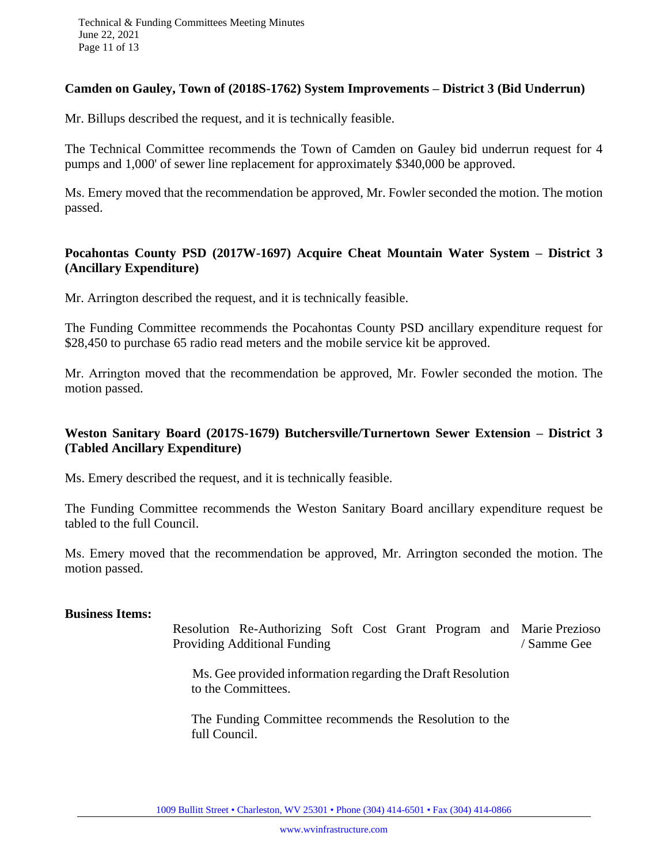#### **Camden on Gauley, Town of (2018S-1762) System Improvements – District 3 (Bid Underrun)**

Mr. Billups described the request, and it is technically feasible.

The Technical Committee recommends the Town of Camden on Gauley bid underrun request for 4 pumps and 1,000' of sewer line replacement for approximately \$340,000 be approved.

Ms. Emery moved that the recommendation be approved, Mr. Fowler seconded the motion. The motion passed.

#### **Pocahontas County PSD (2017W-1697) Acquire Cheat Mountain Water System – District 3 (Ancillary Expenditure)**

Mr. Arrington described the request, and it is technically feasible.

The Funding Committee recommends the Pocahontas County PSD ancillary expenditure request for \$28,450 to purchase 65 radio read meters and the mobile service kit be approved.

Mr. Arrington moved that the recommendation be approved, Mr. Fowler seconded the motion. The motion passed.

# **Weston Sanitary Board (2017S-1679) Butchersville/Turnertown Sewer Extension – District 3 (Tabled Ancillary Expenditure)**

Ms. Emery described the request, and it is technically feasible.

The Funding Committee recommends the Weston Sanitary Board ancillary expenditure request be tabled to the full Council.

Ms. Emery moved that the recommendation be approved, Mr. Arrington seconded the motion. The motion passed.

#### **Business Items:**

Resolution Re-Authorizing Soft Cost Grant Program and Marie Prezioso Providing Additional Funding / Samme Gee

 Ms. Gee provided information regarding the Draft Resolution to the Committees.

The Funding Committee recommends the Resolution to the full Council.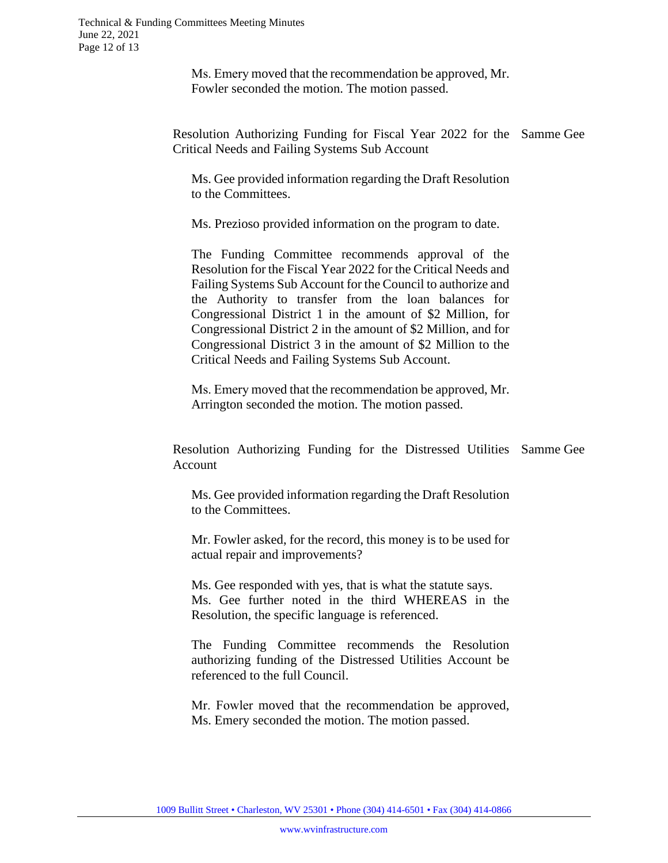Ms. Emery moved that the recommendation be approved, Mr. Fowler seconded the motion. The motion passed.

Resolution Authorizing Funding for Fiscal Year 2022 for the Samme Gee Critical Needs and Failing Systems Sub Account

Ms. Gee provided information regarding the Draft Resolution to the Committees.

Ms. Prezioso provided information on the program to date.

The Funding Committee recommends approval of the Resolution for the Fiscal Year 2022 for the Critical Needs and Failing Systems Sub Account for the Council to authorize and the Authority to transfer from the loan balances for Congressional District 1 in the amount of \$2 Million, for Congressional District 2 in the amount of \$2 Million, and for Congressional District 3 in the amount of \$2 Million to the Critical Needs and Failing Systems Sub Account.

Ms. Emery moved that the recommendation be approved, Mr. Arrington seconded the motion. The motion passed.

Resolution Authorizing Funding for the Distressed Utilities Samme GeeAccount

Ms. Gee provided information regarding the Draft Resolution to the Committees.

Mr. Fowler asked, for the record, this money is to be used for actual repair and improvements?

Ms. Gee responded with yes, that is what the statute says. Ms. Gee further noted in the third WHEREAS in the Resolution, the specific language is referenced.

The Funding Committee recommends the Resolution authorizing funding of the Distressed Utilities Account be referenced to the full Council.

Mr. Fowler moved that the recommendation be approved, Ms. Emery seconded the motion. The motion passed.